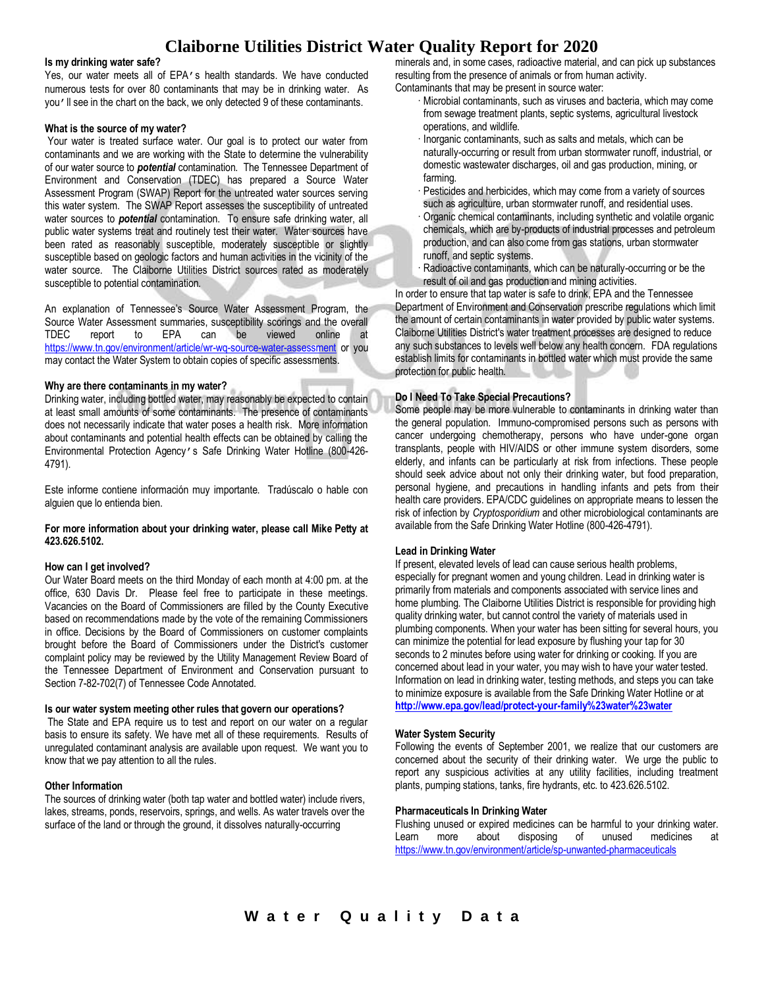# **Claiborne Utilities District Water Quality Report for 2020**

#### **Is my drinking water safe?**

Yes, our water meets all of EPA's health standards. We have conducted numerous tests for over 80 contaminants that may be in drinking water. As you'll see in the chart on the back, we only detected 9 of these contaminants.

#### **What is the source of my water?**

Your water is treated surface water. Our goal is to protect our water from contaminants and we are working with the State to determine the vulnerability of our water source to *potential* contamination. The Tennessee Department of Environment and Conservation (TDEC) has prepared a Source Water Assessment Program (SWAP) Report for the untreated water sources serving this water system. The SWAP Report assesses the susceptibility of untreated water sources to *potential* contamination. To ensure safe drinking water, all public water systems treat and routinely test their water. Water sources have been rated as reasonably susceptible, moderately susceptible or slightly susceptible based on geologic factors and human activities in the vicinity of the water source. The Claiborne Utilities District sources rated as moderately susceptible to potential contamination.

An explanation of Tennessee's Source Water Assessment Program, the Source Water Assessment summaries, susceptibility scorings and the overall TDEC report to EPA can be viewed online at <https://www.tn.gov/environment/article/wr-wq-source-water-assessment> or you may contact the Water System to obtain copies of specific assessments.

## **Why are there contaminants in my water?**

Drinking water, including bottled water, may reasonably be expected to contain at least small amounts of some contaminants. The presence of contaminants does not necessarily indicate that water poses a health risk. More information about contaminants and potential health effects can be obtained by calling the Environmental Protection Agency's Safe Drinking Water Hotline (800-426- 4791).

Este informe contiene información muy importante. Tradúscalo o hable con alguien que lo entienda bien.

## **For more information about your drinking water, please call Mike Petty at 423.626.5102.**

#### **How can I get involved?**

Our Water Board meets on the third Monday of each month at 4:00 pm. at the office, 630 Davis Dr. Please feel free to participate in these meetings. Vacancies on the Board of Commissioners are filled by the County Executive based on recommendations made by the vote of the remaining Commissioners in office. Decisions by the Board of Commissioners on customer complaints brought before the Board of Commissioners under the District's customer complaint policy may be reviewed by the Utility Management Review Board of the Tennessee Department of Environment and Conservation pursuant to Section 7-82-702(7) of Tennessee Code Annotated.

### **Is our water system meeting other rules that govern our operations?**

The State and EPA require us to test and report on our water on a regular basis to ensure its safety. We have met all of these requirements. Results of unregulated contaminant analysis are available upon request. We want you to know that we pay attention to all the rules.

#### **Other Information**

The sources of drinking water (both tap water and bottled water) include rivers, lakes, streams, ponds, reservoirs, springs, and wells. As water travels over the surface of the land or through the ground, it dissolves naturally-occurring

minerals and, in some cases, radioactive material, and can pick up substances resulting from the presence of animals or from human activity. Contaminants that may be present in source water:

- · Microbial contaminants, such as viruses and bacteria, which may come from sewage treatment plants, septic systems, agricultural livestock operations, and wildlife.
- · Inorganic contaminants, such as salts and metals, which can be naturally-occurring or result from urban stormwater runoff, industrial, or domestic wastewater discharges, oil and gas production, mining, or farming.
- Pesticides and herbicides, which may come from a variety of sources such as agriculture, urban stormwater runoff, and residential uses.
- · Organic chemical contaminants, including synthetic and volatile organic chemicals, which are by-products of industrial processes and petroleum production, and can also come from gas stations, urban stormwater runoff, and septic systems.
- Radioactive contaminants, which can be naturally-occurring or be the result of oil and gas production and mining activities.

In order to ensure that tap water is safe to drink, EPA and the Tennessee Department of Environment and Conservation prescribe regulations which limit the amount of certain contaminants in water provided by public water systems. Claiborne Utilities District's water treatment processes are designed to reduce any such substances to levels well below any health concern. FDA regulations establish limits for contaminants in bottled water which must provide the same protection for public health.

# **Do I Need To Take Special Precautions?**

Some people may be more vulnerable to contaminants in drinking water than the general population. Immuno-compromised persons such as persons with cancer undergoing chemotherapy, persons who have under-gone organ transplants, people with HIV/AIDS or other immune system disorders, some elderly, and infants can be particularly at risk from infections. These people should seek advice about not only their drinking water, but food preparation, personal hygiene, and precautions in handling infants and pets from their health care providers. EPA/CDC guidelines on appropriate means to lessen the risk of infection by *Cryptosporidium* and other microbiological contaminants are available from the Safe Drinking Water Hotline (800-426-4791).

#### **Lead in Drinking Water**

If present, elevated levels of lead can cause serious health problems, especially for pregnant women and young children. Lead in drinking water is primarily from materials and components associated with service lines and home plumbing. The Claiborne Utilities District is responsible for providing high quality drinking water, but cannot control the variety of materials used in plumbing components. When your water has been sitting for several hours, you can minimize the potential for lead exposure by flushing your tap for 30 seconds to 2 minutes before using water for drinking or cooking. If you are concerned about lead in your water, you may wish to have your water tested. Information on lead in drinking water, testing methods, and steps you can take to minimize exposure is available from the Safe Drinking Water Hotline or at **<http://www.epa.gov/lead/protect-your-family%23water%23water>**

#### **Water System Security**

Following the events of September 2001, we realize that our customers are concerned about the security of their drinking water. We urge the public to report any suspicious activities at any utility facilities, including treatment plants, pumping stations, tanks, fire hydrants, etc. to 423.626.5102.

#### **Pharmaceuticals In Drinking Water**

Flushing unused or expired medicines can be harmful to your drinking water. Learn more about disposing of unused medicines at <https://www.tn.gov/environment/article/sp-unwanted-pharmaceuticals>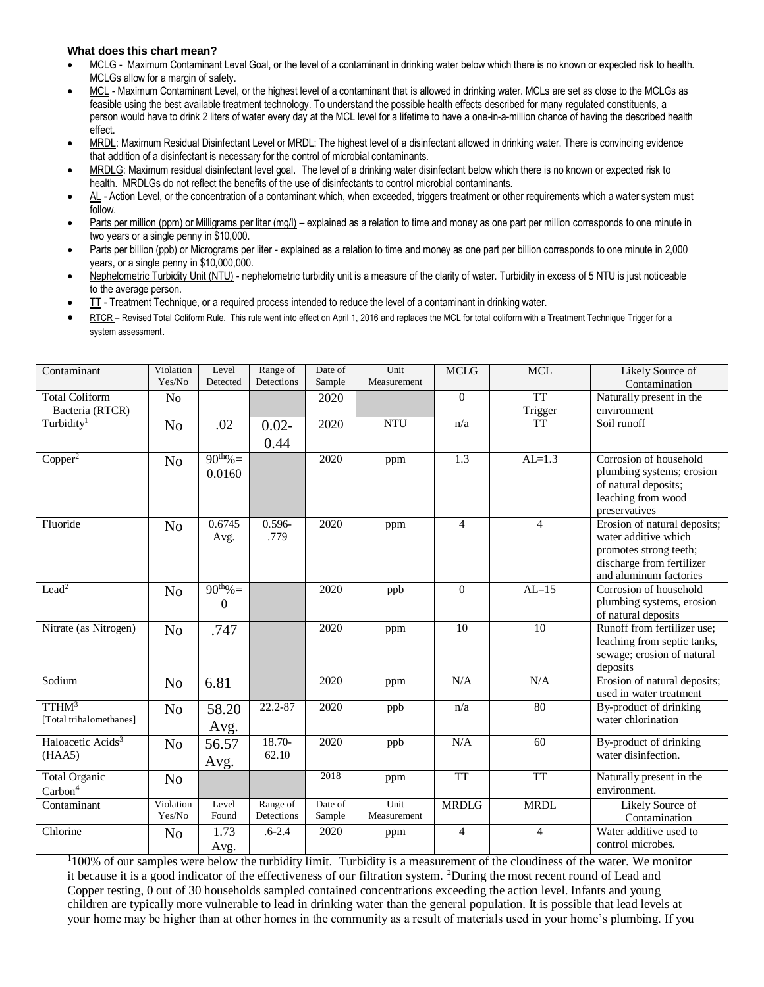# **What does this chart mean?**

- MCLG Maximum Contaminant Level Goal, or the level of a contaminant in drinking water below which there is no known or expected risk to health. MCLGs allow for a margin of safety.
- MCL Maximum Contaminant Level, or the highest level of a contaminant that is allowed in drinking water. MCLs are set as close to the MCLGs as feasible using the best available treatment technology. To understand the possible health effects described for many regulated constituents, a person would have to drink 2 liters of water every day at the MCL level for a lifetime to have a one-in-a-million chance of having the described health effect.
- MRDL: Maximum Residual Disinfectant Level or MRDL: The highest level of a disinfectant allowed in drinking water. There is convincing evidence that addition of a disinfectant is necessary for the control of microbial contaminants.
- MRDLG: Maximum residual disinfectant level goal. The level of a drinking water disinfectant below which there is no known or expected risk to health. MRDLGs do not reflect the benefits of the use of disinfectants to control microbial contaminants.
- AL Action Level, or the concentration of a contaminant which, when exceeded, triggers treatment or other requirements which a water system must follow.
- Parts per million (ppm) or Milligrams per liter (mg/l) explained as a relation to time and money as one part per million corresponds to one minute in two years or a single penny in \$10,000.
- Parts per billion (ppb) or Micrograms per liter explained as a relation to time and money as one part per billion corresponds to one minute in 2,000 years, or a single penny in \$10,000,000.
- Nephelometric Turbidity Unit (NTU) nephelometric turbidity unit is a measure of the clarity of water. Turbidity in excess of 5 NTU is just noticeable to the average person.
- TT Treatment Technique, or a required process intended to reduce the level of a contaminant in drinking water.
- RTCR Revised Total Coliform Rule. This rule went into effect on April 1, 2016 and replaces the MCL for total coliform with a Treatment Technique Trigger for a system assessment.

| Contaminant                                  | Violation           | Level          | Range of               | Date of | Unit                | <b>MCLG</b>    | <b>MCL</b>     | Likely Source of                         |
|----------------------------------------------|---------------------|----------------|------------------------|---------|---------------------|----------------|----------------|------------------------------------------|
|                                              | Yes/No              | Detected       | Detections             | Sample  | Measurement         |                |                | Contamination                            |
| <b>Total Coliform</b>                        | N <sub>o</sub>      |                |                        | 2020    |                     | $\Omega$       | <b>TT</b>      | Naturally present in the                 |
| Bacteria (RTCR)                              |                     |                |                        |         |                     |                | Trigger        | environment                              |
| Turbidity <sup>1</sup>                       | N <sub>o</sub>      | .02            | $0.02 -$               | 2020    | <b>NTU</b>          | n/a            | <b>TT</b>      | Soil runoff                              |
|                                              |                     |                | 0.44                   |         |                     |                |                |                                          |
| Copper <sup>2</sup>                          | N <sub>o</sub>      | $90^{th}\% =$  |                        | 2020    | ppm                 | 1.3            | $AL=1.3$       | Corrosion of household                   |
|                                              |                     | 0.0160         |                        |         |                     |                |                | plumbing systems; erosion                |
|                                              |                     |                |                        |         |                     |                |                | of natural deposits;                     |
|                                              |                     |                |                        |         |                     |                |                | leaching from wood                       |
|                                              |                     |                |                        |         |                     |                |                | preservatives                            |
| Fluoride                                     | N <sub>o</sub>      | 0.6745         | $0.596 -$              | 2020    | ppm                 | $\overline{4}$ | $\overline{4}$ | Erosion of natural deposits;             |
|                                              |                     | Avg.           | .779                   |         |                     |                |                | water additive which                     |
|                                              |                     |                |                        |         |                     |                |                | promotes strong teeth;                   |
|                                              |                     |                |                        |         |                     |                |                | discharge from fertilizer                |
|                                              |                     |                |                        |         |                     |                |                | and aluminum factories                   |
| Lead <sup>2</sup>                            | N <sub>o</sub>      | $90^{th}\% =$  |                        | 2020    | ppb                 | $\Omega$       | $AL=15$        | Corrosion of household                   |
|                                              |                     | $\mathbf{0}$   |                        |         |                     |                |                | plumbing systems, erosion                |
|                                              |                     |                |                        |         |                     |                |                | of natural deposits                      |
| Nitrate (as Nitrogen)                        | N <sub>o</sub>      | .747           |                        | 2020    | ppm                 | 10             | 10             | Runoff from fertilizer use:              |
|                                              |                     |                |                        |         |                     |                |                | leaching from septic tanks,              |
|                                              |                     |                |                        |         |                     |                |                | sewage; erosion of natural               |
|                                              |                     |                |                        |         |                     |                |                | deposits                                 |
| Sodium                                       | N <sub>o</sub>      | 6.81           |                        | 2020    | ppm                 | N/A            | N/A            | Erosion of natural deposits;             |
|                                              |                     |                |                        |         |                     |                |                | used in water treatment                  |
| TTHM <sup>3</sup><br>[Total trihalomethanes] | N <sub>o</sub>      | 58.20          | 22.2-87                | 2020    | ppb                 | n/a            | 80             | By-product of drinking                   |
|                                              |                     | Avg.           |                        |         |                     |                |                | water chlorination                       |
| Haloacetic Acids <sup>3</sup>                | N <sub>o</sub>      | 56.57          | $18.70-$               | 2020    | ppb                 | N/A            | 60             | By-product of drinking                   |
| (HAA5)                                       |                     | Avg.           | 62.10                  |         |                     |                |                | water disinfection.                      |
|                                              |                     |                |                        | 2018    |                     | <b>TT</b>      | <b>TT</b>      |                                          |
| <b>Total Organic</b>                         | N <sub>o</sub>      |                |                        |         | ppm                 |                |                | Naturally present in the<br>environment. |
| $\mbox{Carbon}^4$                            |                     |                |                        |         |                     |                |                |                                          |
| Contaminant                                  | Violation<br>Yes/No | Level<br>Found | Range of<br>Detections | Date of | Unit<br>Measurement | <b>MRDLG</b>   | <b>MRDL</b>    | Likely Source of                         |
|                                              |                     |                |                        | Sample  |                     |                |                | Contamination                            |
| Chlorine                                     | N <sub>0</sub>      | 1.73           | $.6 - 2.4$             | 2020    | ppm                 | $\overline{4}$ | $\overline{4}$ | Water additive used to                   |
|                                              |                     | Avg.           |                        |         |                     |                |                | control microbes.                        |

 $1100\%$  of our samples were below the turbidity limit. Turbidity is a measurement of the cloudiness of the water. We monitor it because it is a good indicator of the effectiveness of our filtration system. <sup>2</sup>During the most recent round of Lead and Copper testing, 0 out of 30 households sampled contained concentrations exceeding the action level. Infants and young children are typically more vulnerable to lead in drinking water than the general population. It is possible that lead levels at your home may be higher than at other homes in the community as a result of materials used in your home's plumbing. If you